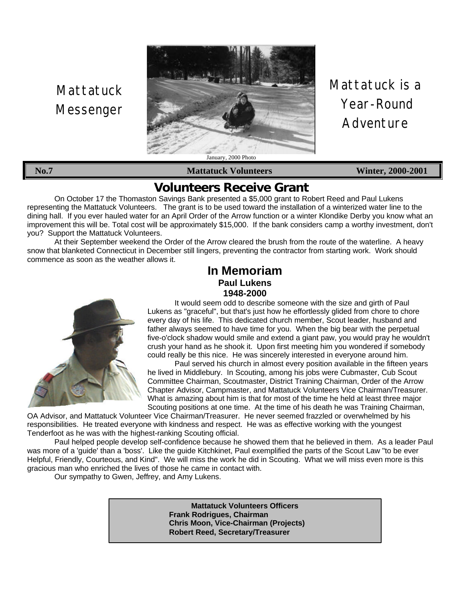# **Mattatuck** Messenger



Mattatuck is a Year-Round Adventure

**No.7 Mattatuck Volunteers Winter, 2000-2001**

## **Volunteers Receive Grant**

On October 17 the Thomaston Savings Bank presented a \$5,000 grant to Robert Reed and Paul Lukens representing the Mattatuck Volunteers. The grant is to be used toward the installation of a winterized water line to the dining hall. If you ever hauled water for an April Order of the Arrow function or a winter Klondike Derby you know what an improvement this will be. Total cost will be approximately \$15,000. If the bank considers camp a worthy investment, don't you? Support the Mattatuck Volunteers.

At their September weekend the Order of the Arrow cleared the brush from the route of the waterline. A heavy snow that blanketed Connecticut in December still lingers, preventing the contractor from starting work. Work should commence as soon as the weather allows it.

### **In Memoriam Paul Lukens 1948-2000**



It would seem odd to describe someone with the size and girth of Paul Lukens as "graceful", but that's just how he effortlessly glided from chore to chore every day of his life. This dedicated church member, Scout leader, husband and father always seemed to have time for you. When the big bear with the perpetual five-o'clock shadow would smile and extend a giant paw, you would pray he wouldn't crush your hand as he shook it. Upon first meeting him you wondered if somebody could really be this nice. He was sincerely interested in everyone around him.

Paul served his church in almost every position available in the fifteen years he lived in Middlebury. In Scouting, among his jobs were Cubmaster, Cub Scout Committee Chairman, Scoutmaster, District Training Chairman, Order of the Arrow Chapter Advisor, Campmaster, and Mattatuck Volunteers Vice Chairman/Treasurer. What is amazing about him is that for most of the time he held at least three major Scouting positions at one time. At the time of his death he was Training Chairman,

OA Advisor, and Mattatuck Volunteer Vice Chairman/Treasurer. He never seemed frazzled or overwhelmed by his responsibilities. He treated everyone with kindness and respect. He was as effective working with the youngest Tenderfoot as he was with the highest-ranking Scouting official.

Paul helped people develop self-confidence because he showed them that he believed in them. As a leader Paul was more of a 'guide' than a 'boss'. Like the guide Kitchkinet, Paul exemplified the parts of the Scout Law "to be ever Helpful, Friendly, Courteous, and Kind". We will miss the work he did in Scouting. What we will miss even more is this gracious man who enriched the lives of those he came in contact with.

Our sympathy to Gwen, Jeffrey, and Amy Lukens.

**Mattatuck Volunteers Officers Frank Rodrigues, Chairman Chris Moon, Vice-Chairman (Projects) Robert Reed, Secretary/Treasurer**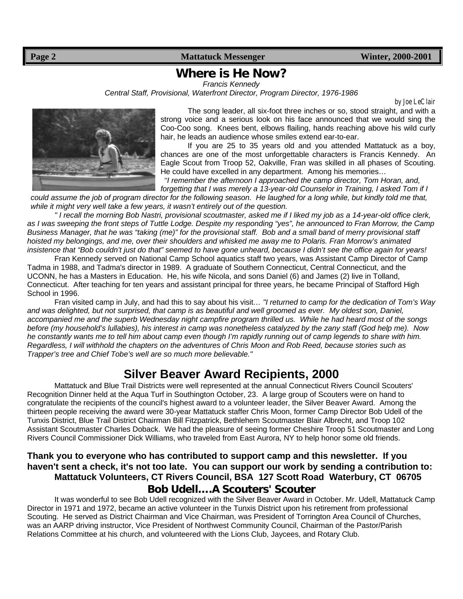**Page 2** Mattatuck Messenger Winter, 2000-2001

### **Where is He Now?**

*Francis Kennedy*

*Central Staff, Provisional, Waterfront Director, Program Director, 1976-1986*

*by Joe LeClair*



The song leader, all six-foot three inches or so, stood straight, and with a strong voice and a serious look on his face announced that we would sing the Coo-Coo song. Knees bent, elbows flailing, hands reaching above his wild curly hair, he leads an audience whose smiles extend ear-to-ear.

If you are 25 to 35 years old and you attended Mattatuck as a boy, chances are one of the most unforgettable characters is Francis Kennedy. An Eagle Scout from Troop 52, Oakville, Fran was skilled in all phases of Scouting. He could have excelled in any department. Among his memories…

*"I remember the afternoon I approached the camp director, Tom Horan, and, forgetting that I was merely a 13-year-old Counselor in Training, I asked Tom if I*

*could assume the job of program director for the following season. He laughed for a long while, but kindly told me that, while it might very well take a few years, it wasn't entirely out of the question.*

*" I recall the morning Bob Nastri, provisional scoutmaster, asked me if I liked my job as a 14-year-old office clerk, as I was sweeping the front steps of Tuttle Lodge. Despite my responding "yes", he announced to Fran Morrow, the Camp Business Manager, that he was "taking (me)" for the provisional staff. Bob and a small band of merry provisional staff hoisted my belongings, and me, over their shoulders and whisked me away me to Polaris. Fran Morrow's animated insistence that "Bob couldn't just do that" seemed to have gone unheard, because I didn't see the office again for years!*

Fran Kennedy served on National Camp School aquatics staff two years, was Assistant Camp Director of Camp Tadma in 1988, and Tadma's director in 1989. A graduate of Southern Connecticut, Central Connecticut, and the UCONN, he has a Masters in Education. He, his wife Nicola, and sons Daniel (6) and James (2) live in Tolland, Connecticut. After teaching for ten years and assistant principal for three years, he became Principal of Stafford High School in 1996.

Fran visited camp in July, and had this to say about his visit*… "I returned to camp for the dedication of Tom's Way and was delighted, but not surprised, that camp is as beautiful and well groomed as ever. My oldest son, Daniel, accompanied me and the superb Wednesday night campfire program thrilled us. While he had heard most of the songs before (my household's lullabies), his interest in camp was nonetheless catalyzed by the zany staff (God help me). Now he constantly wants me to tell him about camp even though I'm rapidly running out of camp legends to share with him. Regardless, I will withhold the chapters on the adventures of Chris Moon and Rob Reed, because stories such as Trapper's tree and Chief Tobe's well are so much more believable."*

# **Silver Beaver Award Recipients, 2000**

Mattatuck and Blue Trail Districts were well represented at the annual Connecticut Rivers Council Scouters' Recognition Dinner held at the Aqua Turf in Southington October, 23. A large group of Scouters were on hand to congratulate the recipients of the council's highest award to a volunteer leader, the Silver Beaver Award. Among the thirteen people receiving the award were 30-year Mattatuck staffer Chris Moon, former Camp Director Bob Udell of the Tunxis District, Blue Trail District Chairman Bill Fitzpatrick, Bethlehem Scoutmaster Blair Albrecht, and Troop 102 Assistant Scoutmaster Charles Doback. We had the pleasure of seeing former Cheshire Troop 51 Scoutmaster and Long Rivers Council Commissioner Dick Williams, who traveled from East Aurora, NY to help honor some old friends.

### **Thank you to everyone who has contributed to support camp and this newsletter. If you haven't sent a check, it's not too late. You can support our work by sending a contribution to: Mattatuck Volunteers, CT Rivers Council, BSA 127 Scott Road Waterbury, CT 06705 Bob Udell….A Scouters' Scouter**

It was wonderful to see Bob Udell recognized with the Silver Beaver Award in October. Mr. Udell, Mattatuck Camp Director in 1971 and 1972, became an active volunteer in the Tunxis District upon his retirement from professional Scouting. He served as District Chairman and Vice Chairman, was President of Torrington Area Council of Churches, was an AARP driving instructor, Vice President of Northwest Community Council, Chairman of the Pastor/Parish Relations Committee at his church, and volunteered with the Lions Club, Jaycees, and Rotary Club.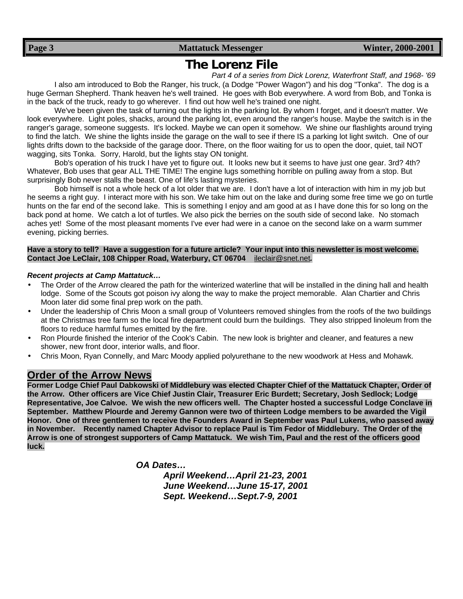# **The Lorenz File**

*Part 4 of a series from Dick Lorenz, Waterfront Staff, and 1968- '69* I also am introduced to Bob the Ranger, his truck, (a Dodge "Power Wagon") and his dog "Tonka". The dog is a huge German Shepherd. Thank heaven he's well trained. He goes with Bob everywhere. A word from Bob, and Tonka is in the back of the truck, ready to go wherever. I find out how well he's trained one night.

We've been given the task of turning out the lights in the parking lot. By whom I forget, and it doesn't matter. We look everywhere. Light poles, shacks, around the parking lot, even around the ranger's house. Maybe the switch is in the ranger's garage, someone suggests. It's locked. Maybe we can open it somehow. We shine our flashlights around trying to find the latch. We shine the lights inside the garage on the wall to see if there IS a parking lot light switch. One of our lights drifts down to the backside of the garage door. There, on the floor waiting for us to open the door, quiet, tail NOT wagging, sits Tonka. Sorry, Harold, but the lights stay ON tonight.

Bob's operation of his truck I have yet to figure out. It looks new but it seems to have just one gear. 3rd? 4th? Whatever, Bob uses that gear ALL THE TIME! The engine lugs something horrible on pulling away from a stop. But surprisingly Bob never stalls the beast. One of life's lasting mysteries.

Bob himself is not a whole heck of a lot older that we are. I don't have a lot of interaction with him in my job but he seems a right guy. I interact more with his son. We take him out on the lake and during some free time we go on turtle hunts on the far end of the second lake. This is something I enjoy and am good at as I have done this for so long on the back pond at home. We catch a lot of turtles. We also pick the berries on the south side of second lake. No stomach aches yet! Some of the most pleasant moments I've ever had were in a canoe on the second lake on a warm summer evening, picking berries.

#### **Have a story to tell? Have a suggestion for a future article? Your input into this newsletter is most welcome. Contact Joe LeClair, 108 Chipper Road, Waterbury, CT 06704** ileclair@snet.net*.*

#### *Recent projects at Camp Mattatuck…*

- The Order of the Arrow cleared the path for the winterized waterline that will be installed in the dining hall and health lodge. Some of the Scouts got poison ivy along the way to make the project memorable. Alan Chartier and Chris Moon later did some final prep work on the path.
- Under the leadership of Chris Moon a small group of Volunteers removed shingles from the roofs of the two buildings at the Christmas tree farm so the local fire department could burn the buildings. They also stripped linoleum from the floors to reduce harmful fumes emitted by the fire.
- Ron Plourde finished the interior of the Cook's Cabin. The new look is brighter and cleaner, and features a new shower, new front door, interior walls, and floor.
- Chris Moon, Ryan Connelly, and Marc Moody applied polyurethane to the new woodwork at Hess and Mohawk.

### **Order of the Arrow News**

**Former Lodge Chief Paul Dabkowski of Middlebury was elected Chapter Chief of the Mattatuck Chapter, Order of the Arrow. Other officers are Vice Chief Justin Clair, Treasurer Eric Burdett; Secretary, Josh Sedlock; Lodge Representative, Joe Calvoe. We wish the new officers well. The Chapter hosted a successful Lodge Conclave in September. Matthew Plourde and Jeremy Gannon were two of thirteen Lodge members to be awarded the Vigil Honor. One of three gentlemen to receive the Founders Award in September was Paul Lukens, who passed away in November. Recently named Chapter Advisor to replace Paul is Tim Fedor of Middlebury. The Order of the Arrow is one of strongest supporters of Camp Mattatuck. We wish Tim, Paul and the rest of the officers good luck.**

*OA Dates…*

*April Weekend…April 21-23, 2001 June Weekend…June 15-17, 2001 Sept. Weekend…Sept.7-9, 2001*